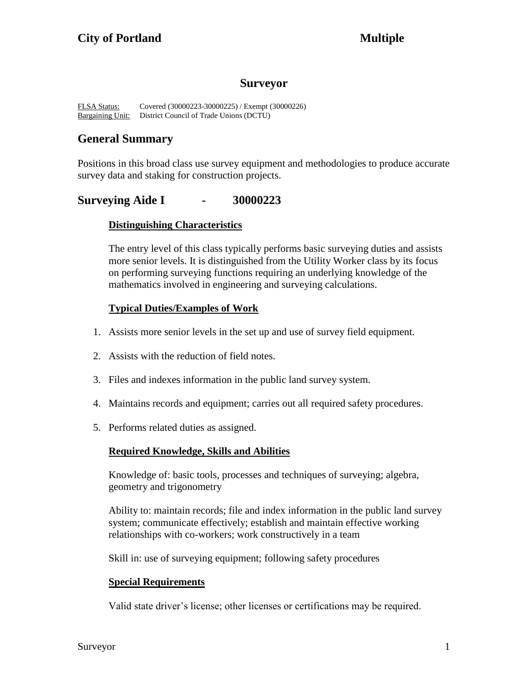# **Surveyor**

FLSA Status: Covered (30000223-30000225) / Exempt (30000226) Bargaining Unit: District Council of Trade Unions (DCTU)

# **General Summary**

Positions in this broad class use survey equipment and methodologies to produce accurate survey data and staking for construction projects.

# **Surveying Aide I - 30000223**

### **Distinguishing Characteristics**

The entry level of this class typically performs basic surveying duties and assists more senior levels. It is distinguished from the Utility Worker class by its focus on performing surveying functions requiring an underlying knowledge of the mathematics involved in engineering and surveying calculations.

# **Typical Duties/Examples of Work**

- 1. Assists more senior levels in the set up and use of survey field equipment.
- 2. Assists with the reduction of field notes.
- 3. Files and indexes information in the public land survey system.
- 4. Maintains records and equipment; carries out all required safety procedures.
- 5. Performs related duties as assigned.

### **Required Knowledge, Skills and Abilities**

Knowledge of: basic tools, processes and techniques of surveying; algebra, geometry and trigonometry

Ability to: maintain records; file and index information in the public land survey system; communicate effectively; establish and maintain effective working relationships with co-workers; work constructively in a team

Skill in: use of surveying equipment; following safety procedures

### **Special Requirements**

Valid state driver's license; other licenses or certifications may be required.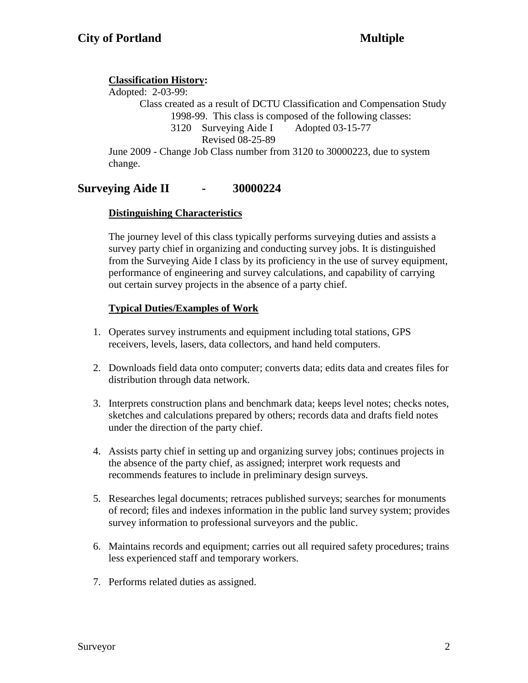# **Classification History:**

Adopted: 2-03-99: Class created as a result of DCTU Classification and Compensation Study 1998-99. This class is composed of the following classes: 3120 Surveying Aide I Adopted 03-15-77 Revised 08-25-89 June 2009 - Change Job Class number from 3120 to 30000223, due to system change.

# **Surveying Aide II - 30000224**

# **Distinguishing Characteristics**

The journey level of this class typically performs surveying duties and assists a survey party chief in organizing and conducting survey jobs. It is distinguished from the Surveying Aide I class by its proficiency in the use of survey equipment, performance of engineering and survey calculations, and capability of carrying out certain survey projects in the absence of a party chief.

# **Typical Duties/Examples of Work**

- 1. Operates survey instruments and equipment including total stations, GPS receivers, levels, lasers, data collectors, and hand held computers.
- 2. Downloads field data onto computer; converts data; edits data and creates files for distribution through data network.
- 3. Interprets construction plans and benchmark data; keeps level notes; checks notes, sketches and calculations prepared by others; records data and drafts field notes under the direction of the party chief.
- 4. Assists party chief in setting up and organizing survey jobs; continues projects in the absence of the party chief, as assigned; interpret work requests and recommends features to include in preliminary design surveys.
- 5. Researches legal documents; retraces published surveys; searches for monuments of record; files and indexes information in the public land survey system; provides survey information to professional surveyors and the public.
- 6. Maintains records and equipment; carries out all required safety procedures; trains less experienced staff and temporary workers.
- 7. Performs related duties as assigned.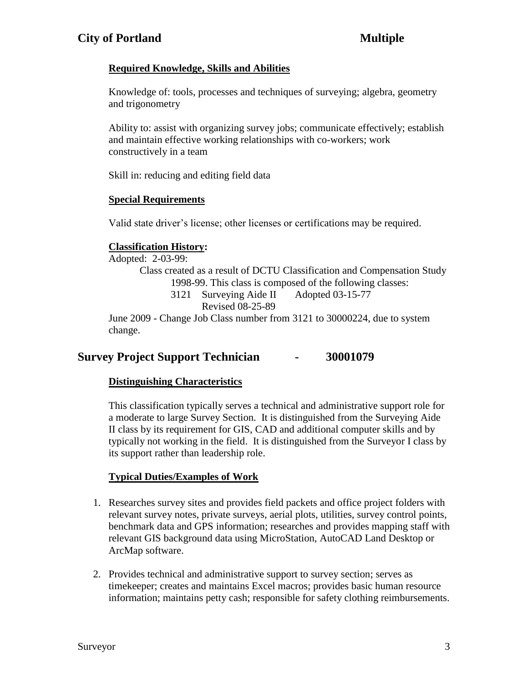# **Required Knowledge, Skills and Abilities**

Knowledge of: tools, processes and techniques of surveying; algebra, geometry and trigonometry

Ability to: assist with organizing survey jobs; communicate effectively; establish and maintain effective working relationships with co-workers; work constructively in a team

Skill in: reducing and editing field data

# **Special Requirements**

Valid state driver's license; other licenses or certifications may be required.

# **Classification History:**

Adopted: 2-03-99:

Class created as a result of DCTU Classification and Compensation Study 1998-99. This class is composed of the following classes:

3121 Surveying Aide II Adopted 03-15-77

Revised 08-25-89

June 2009 - Change Job Class number from 3121 to 30000224, due to system change.

# **Survey Project Support Technician - 30001079**

# **Distinguishing Characteristics**

This classification typically serves a technical and administrative support role for a moderate to large Survey Section. It is distinguished from the Surveying Aide II class by its requirement for GIS, CAD and additional computer skills and by typically not working in the field. It is distinguished from the Surveyor I class by its support rather than leadership role.

# **Typical Duties/Examples of Work**

- 1. Researches survey sites and provides field packets and office project folders with relevant survey notes, private surveys, aerial plots, utilities, survey control points, benchmark data and GPS information; researches and provides mapping staff with relevant GIS background data using MicroStation, AutoCAD Land Desktop or ArcMap software.
- 2. Provides technical and administrative support to survey section; serves as timekeeper; creates and maintains Excel macros; provides basic human resource information; maintains petty cash; responsible for safety clothing reimbursements.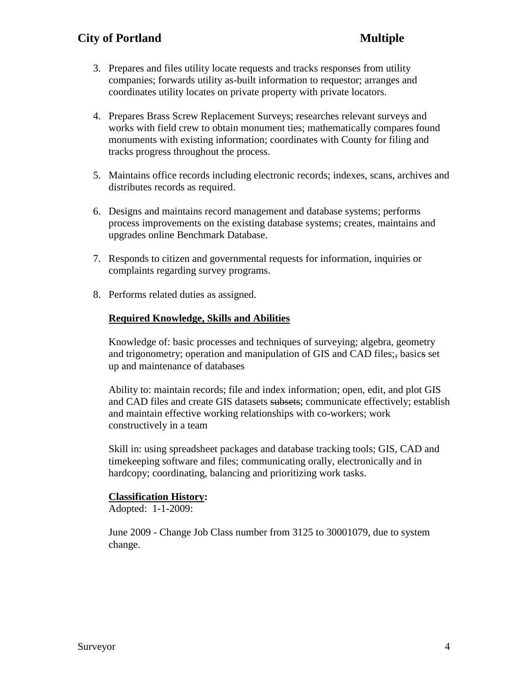- 3. Prepares and files utility locate requests and tracks responses from utility companies; forwards utility as-built information to requestor; arranges and coordinates utility locates on private property with private locators.
- 4. Prepares Brass Screw Replacement Surveys; researches relevant surveys and works with field crew to obtain monument ties; mathematically compares found monuments with existing information; coordinates with County for filing and tracks progress throughout the process.
- 5. Maintains office records including electronic records; indexes, scans, archives and distributes records as required.
- 6. Designs and maintains record management and database systems; performs process improvements on the existing database systems; creates, maintains and upgrades online Benchmark Database.
- 7. Responds to citizen and governmental requests for information, inquiries or complaints regarding survey programs.
- 8. Performs related duties as assigned.

#### **Required Knowledge, Skills and Abilities**

Knowledge of: basic processes and techniques of surveying; algebra, geometry and trigonometry; operation and manipulation of GIS and CAD files;, basics set up and maintenance of databases

Ability to: maintain records; file and index information; open, edit, and plot GIS and CAD files and create GIS datasets subsets; communicate effectively; establish and maintain effective working relationships with co-workers; work constructively in a team

Skill in: using spreadsheet packages and database tracking tools; GIS, CAD and timekeeping software and files; communicating orally, electronically and in hardcopy; coordinating, balancing and prioritizing work tasks.

#### **Classification History:**

Adopted: 1-1-2009:

June 2009 - Change Job Class number from 3125 to 30001079, due to system change.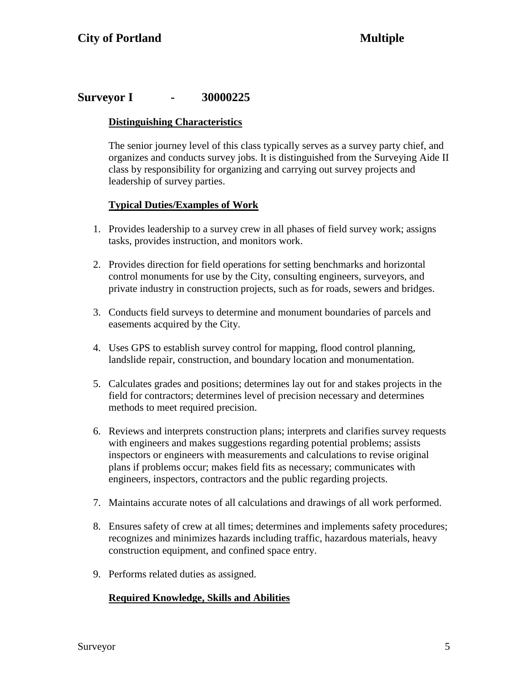# **Surveyor I - 30000225**

### **Distinguishing Characteristics**

The senior journey level of this class typically serves as a survey party chief, and organizes and conducts survey jobs. It is distinguished from the Surveying Aide II class by responsibility for organizing and carrying out survey projects and leadership of survey parties.

# **Typical Duties/Examples of Work**

- 1. Provides leadership to a survey crew in all phases of field survey work; assigns tasks, provides instruction, and monitors work.
- 2. Provides direction for field operations for setting benchmarks and horizontal control monuments for use by the City, consulting engineers, surveyors, and private industry in construction projects, such as for roads, sewers and bridges.
- 3. Conducts field surveys to determine and monument boundaries of parcels and easements acquired by the City.
- 4. Uses GPS to establish survey control for mapping, flood control planning, landslide repair, construction, and boundary location and monumentation.
- 5. Calculates grades and positions; determines lay out for and stakes projects in the field for contractors; determines level of precision necessary and determines methods to meet required precision.
- 6. Reviews and interprets construction plans; interprets and clarifies survey requests with engineers and makes suggestions regarding potential problems; assists inspectors or engineers with measurements and calculations to revise original plans if problems occur; makes field fits as necessary; communicates with engineers, inspectors, contractors and the public regarding projects.
- 7. Maintains accurate notes of all calculations and drawings of all work performed.
- 8. Ensures safety of crew at all times; determines and implements safety procedures; recognizes and minimizes hazards including traffic, hazardous materials, heavy construction equipment, and confined space entry.
- 9. Performs related duties as assigned.

### **Required Knowledge, Skills and Abilities**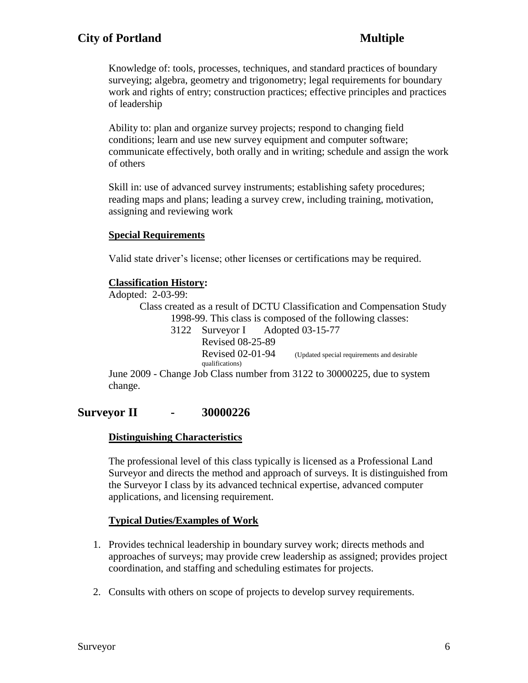Knowledge of: tools, processes, techniques, and standard practices of boundary surveying; algebra, geometry and trigonometry; legal requirements for boundary work and rights of entry; construction practices; effective principles and practices of leadership

Ability to: plan and organize survey projects; respond to changing field conditions; learn and use new survey equipment and computer software; communicate effectively, both orally and in writing; schedule and assign the work of others

Skill in: use of advanced survey instruments; establishing safety procedures; reading maps and plans; leading a survey crew, including training, motivation, assigning and reviewing work

#### **Special Requirements**

Valid state driver's license; other licenses or certifications may be required.

#### **Classification History:**

Adopted: 2-03-99:

Class created as a result of DCTU Classification and Compensation Study 1998-99. This class is composed of the following classes:

3122 Surveyor I Adopted 03-15-77 Revised 08-25-89 Revised 02-01-94 (Updated special requirements and desirable qualifications)

June 2009 - Change Job Class number from 3122 to 30000225, due to system change.

# **Surveyor II - 30000226**

### **Distinguishing Characteristics**

The professional level of this class typically is licensed as a Professional Land Surveyor and directs the method and approach of surveys. It is distinguished from the Surveyor I class by its advanced technical expertise, advanced computer applications, and licensing requirement.

### **Typical Duties/Examples of Work**

- 1. Provides technical leadership in boundary survey work; directs methods and approaches of surveys; may provide crew leadership as assigned; provides project coordination, and staffing and scheduling estimates for projects.
- 2. Consults with others on scope of projects to develop survey requirements.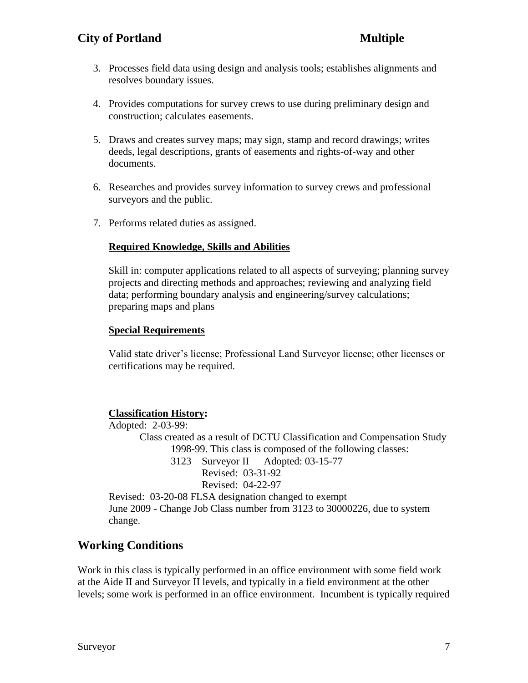- 3. Processes field data using design and analysis tools; establishes alignments and resolves boundary issues.
- 4. Provides computations for survey crews to use during preliminary design and construction; calculates easements.
- 5. Draws and creates survey maps; may sign, stamp and record drawings; writes deeds, legal descriptions, grants of easements and rights-of-way and other documents.
- 6. Researches and provides survey information to survey crews and professional surveyors and the public.
- 7. Performs related duties as assigned.

### **Required Knowledge, Skills and Abilities**

Skill in: computer applications related to all aspects of surveying; planning survey projects and directing methods and approaches; reviewing and analyzing field data; performing boundary analysis and engineering/survey calculations; preparing maps and plans

### **Special Requirements**

Valid state driver's license; Professional Land Surveyor license; other licenses or certifications may be required.

### **Classification History:**

Adopted: 2-03-99: Class created as a result of DCTU Classification and Compensation Study 1998-99. This class is composed of the following classes: 3123 Surveyor II Adopted: 03-15-77 Revised: 03-31-92 Revised: 04-22-97 Revised: 03-20-08 FLSA designation changed to exempt June 2009 - Change Job Class number from 3123 to 30000226, due to system change.

# **Working Conditions**

Work in this class is typically performed in an office environment with some field work at the Aide II and Surveyor II levels, and typically in a field environment at the other levels; some work is performed in an office environment. Incumbent is typically required